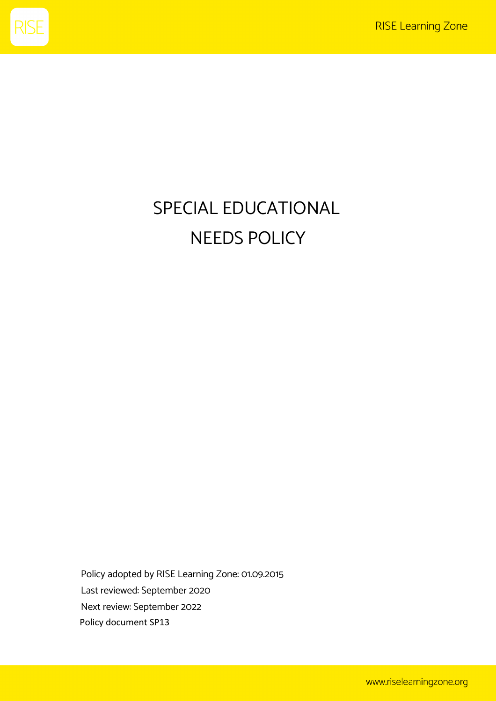

# SPECIAL EDUCATIONAL NEEDS POLICY

Policy adopted by RISE Learning Zone: 01.09.2015 Last reviewed: September 2020 Next review: September 2022 Policy document SP13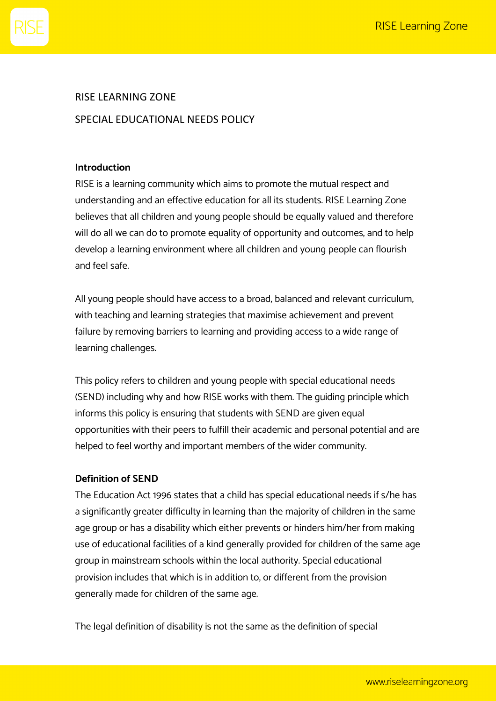

# RISE LEARNING ZONE SPECIAL EDUCATIONAL NEEDS POLICY

#### **Introduction**

RISE is a learning community which aims to promote the mutual respect and understanding and an effective education for all its students. RISE Learning Zone believes that all children and young people should be equally valued and therefore will do all we can do to promote equality of opportunity and outcomes, and to help develop a learning environment where all children and young people can flourish and feel safe.

All young people should have access to a broad, balanced and relevant curriculum, with teaching and learning strategies that maximise achievement and prevent failure by removing barriers to learning and providing access to a wide range of learning challenges.

This policy refers to children and young people with special educational needs (SEND) including why and how RISE works with them. The guiding principle which informs this policy is ensuring that students with SEND are given equal opportunities with their peers to fulfill their academic and personal potential and are helped to feel worthy and important members of the wider community.

#### **Definition of SEND**

The Education Act 1996 states that a child has special educational needs if s/he has a significantly greater difficulty in learning than the majority of children in the same age group or has a disability which either prevents or hinders him/her from making use of educational facilities of a kind generally provided for children of the same age group in mainstream schools within the local authority. Special educational provision includes that which is in addition to, or different from the provision generally made for children of the same age.

The legal definition of disability is not the same as the definition of special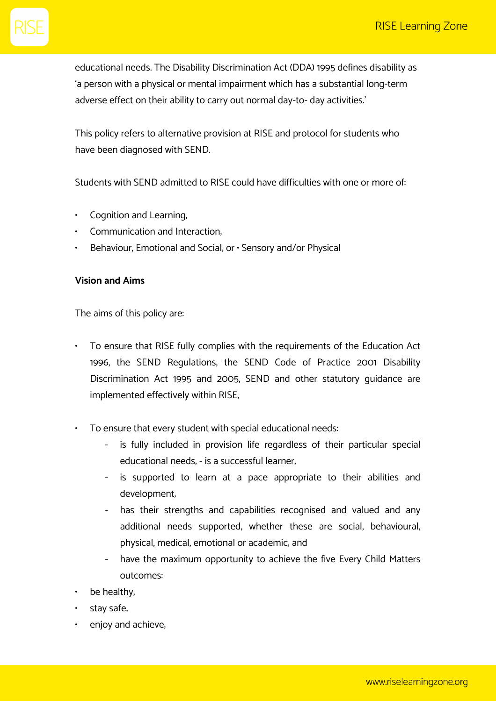educational needs. The Disability Discrimination Act (DDA) 1995 defines disability as 'a person with a physical or mental impairment which has a substantial long-term adverse effect on their ability to carry out normal day-to- day activities.'

This policy refers to alternative provision at RISE and protocol for students who have been diagnosed with SEND.

Students with SEND admitted to RISE could have difficulties with one or more of:

- Cognition and Learning;
- Communication and Interaction;
- Behaviour, Emotional and Social; or Sensory and/or Physical

#### **Vision and Aims**

The aims of this policy are:

- To ensure that RISE fully complies with the requirements of the Education Act 1996, the SEND Regulations, the SEND Code of Practice 2001 Disability Discrimination Act 1995 and 2005, SEND and other statutory guidance are implemented effectively within RISE;
- To ensure that every student with special educational needs:
	- is fully included in provision life regardless of their particular special educational needs; - is a successful learner;
	- is supported to learn at a pace appropriate to their abilities and development;
	- has their strengths and capabilities recognised and valued and any additional needs supported, whether these are social, behavioural, physical, medical, emotional or academic; and
	- have the maximum opportunity to achieve the five Every Child Matters outcomes:
- be healthy,
- stay safe,
- enjoy and achieve,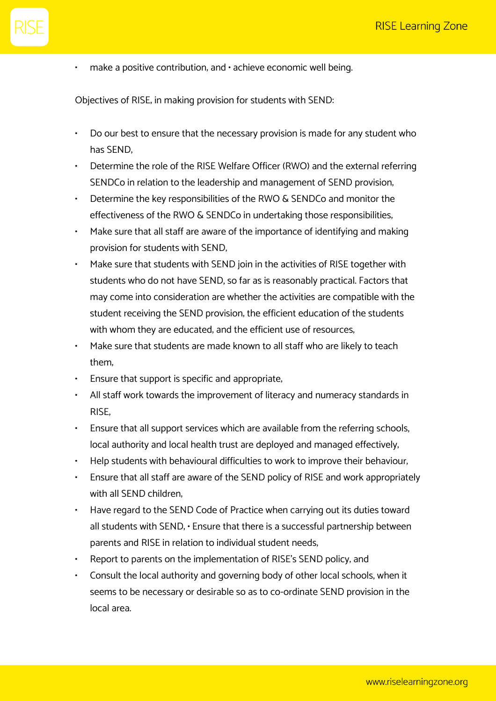$\cdot$  make a positive contribution, and  $\cdot$  achieve economic well being.

Objectives of RISE; in making provision for students with SEND:

- Do our best to ensure that the necessary provision is made for any student who has SEND;
- Determine the role of the RISE Welfare Officer (RWO) and the external referring SENDCo in relation to the leadership and management of SEND provision;
- Determine the key responsibilities of the RWO & SENDCo and monitor the effectiveness of the RWO & SENDCo in undertaking those responsibilities;
- Make sure that all staff are aware of the importance of identifying and making provision for students with SEND;
- Make sure that students with SEND join in the activities of RISE together with students who do not have SEND, so far as is reasonably practical. Factors that may come into consideration are whether the activities are compatible with the student receiving the SEND provision; the efficient education of the students with whom they are educated, and the efficient use of resources,
- Make sure that students are made known to all staff who are likely to teach them;
- Ensure that support is specific and appropriate;
- All staff work towards the improvement of literacy and numeracy standards in RISE;
- Ensure that all support services which are available from the referring schools, local authority and local health trust are deployed and managed effectively;
- Help students with behavioural difficulties to work to improve their behaviour;
- Ensure that all staff are aware of the SEND policy of RISE and work appropriately with all SEND children;
- Have regard to the SEND Code of Practice when carrying out its duties toward all students with SEND; • Ensure that there is a successful partnership between parents and RISE in relation to individual student needs;
- Report to parents on the implementation of RISE's SEND policy; and
- Consult the local authority and governing body of other local schools, when it seems to be necessary or desirable so as to co-ordinate SEND provision in the local area.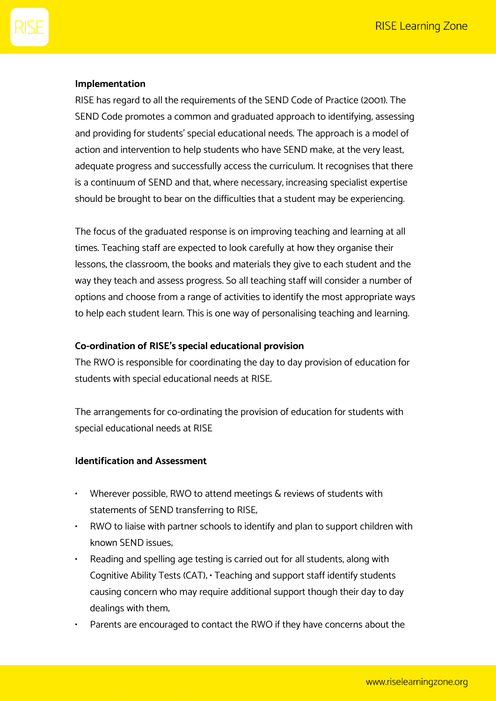# **Implementation**

RISE has regard to all the requirements of the SEND Code of Practice (2001). The SEND Code promotes a common and graduated approach to identifying, assessing and providing for students' special educational needs. The approach is a model of action and intervention to help students who have SEND make, at the very least, adequate progress and successfully access the curriculum. It recognises that there is a continuum of SEND and that, where necessary, increasing specialist expertise should be brought to bear on the difficulties that a student may be experiencing.

The focus of the graduated response is on improving teaching and learning at all times. Teaching staff are expected to look carefully at how they organise their lessons, the classroom, the books and materials they give to each student and the way they teach and assess progress. So all teaching staff will consider a number of options and choose from a range of activities to identify the most appropriate ways to help each student learn. This is one way of personalising teaching and learning.

### **Co-ordination of RISE's special educational provision**

The RWO is responsible for coordinating the day to day provision of education for students with special educational needs at RISE.

The arrangements for co-ordinating the provision of education for students with special educational needs at RISE

#### **Identification and Assessment**

- Wherever possible, RWO to attend meetings & reviews of students with statements of SEND transferring to RISE;
- RWO to liaise with partner schools to identify and plan to support children with known SEND issues;
- Reading and spelling age testing is carried out for all students, along with Cognitive Ability Tests (CAT); • Teaching and support staff identify students causing concern who may require additional support though their day to day dealings with them;
- Parents are encouraged to contact the RWO if they have concerns about the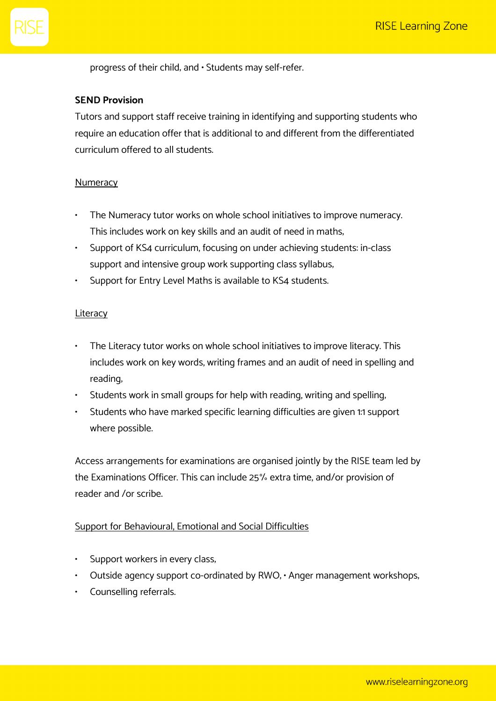progress of their child; and • Students may self-refer.

# **SEND Provision**

Tutors and support staff receive training in identifying and supporting students who require an education offer that is additional to and different from the differentiated curriculum offered to all students.

#### Numeracy

- The Numeracy tutor works on whole school initiatives to improve numeracy. This includes work on key skills and an audit of need in maths;
- Support of KS4 curriculum, focusing on under achieving students: in-class support and intensive group work supporting class syllabus;
- Support for Entry Level Maths is available to KS4 students.

#### Literacy

- The Literacy tutor works on whole school initiatives to improve literacy. This includes work on key words, writing frames and an audit of need in spelling and reading;
- Students work in small groups for help with reading, writing and spelling;
- Students who have marked specific learning difficulties are given 1:1 support where possible.

Access arrangements for examinations are organised jointly by the RISE team led by the Examinations Officer. This can include 25% extra time, and/or provision of reader and /or scribe.

# Support for Behavioural, Emotional and Social Difficulties

- Support workers in every class;
- Outside agency support co-ordinated by RWO, · Anger management workshops,
- Counselling referrals.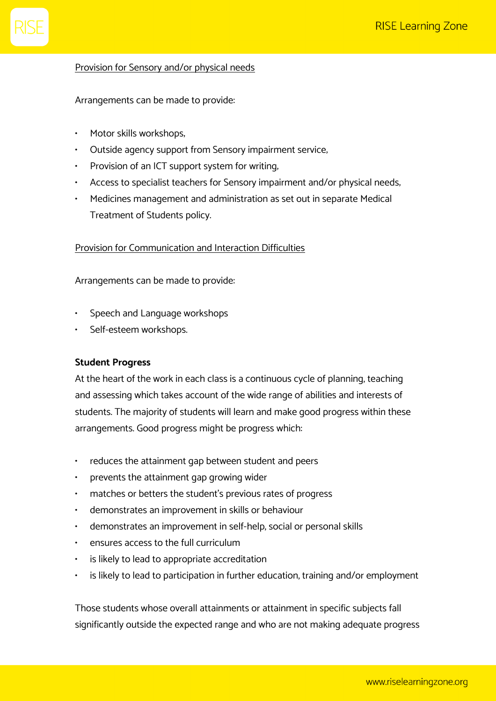# Provision for Sensory and/or physical needs

Arrangements can be made to provide:

- Motor skills workshops;
- Outside agency support from Sensory impairment service;
- Provision of an ICT support system for writing;
- Access to specialist teachers for Sensory impairment and/or physical needs;
- Medicines management and administration as set out in separate Medical Treatment of Students policy.

# Provision for Communication and Interaction Difficulties

Arrangements can be made to provide:

- Speech and Language workshops
- Self-esteem workshops.

#### **Student Progress**

At the heart of the work in each class is a continuous cycle of planning, teaching and assessing which takes account of the wide range of abilities and interests of students. The majority of students will learn and make good progress within these arrangements. Good progress might be progress which:

- reduces the attainment gap between student and peers
- prevents the attainment gap growing wider
- matches or betters the student's previous rates of progress
- demonstrates an improvement in skills or behaviour
- demonstrates an improvement in self-help, social or personal skills
- ensures access to the full curriculum
- is likely to lead to appropriate accreditation
- is likely to lead to participation in further education, training and/or employment

Those students whose overall attainments or attainment in specific subjects fall significantly outside the expected range and who are not making adequate progress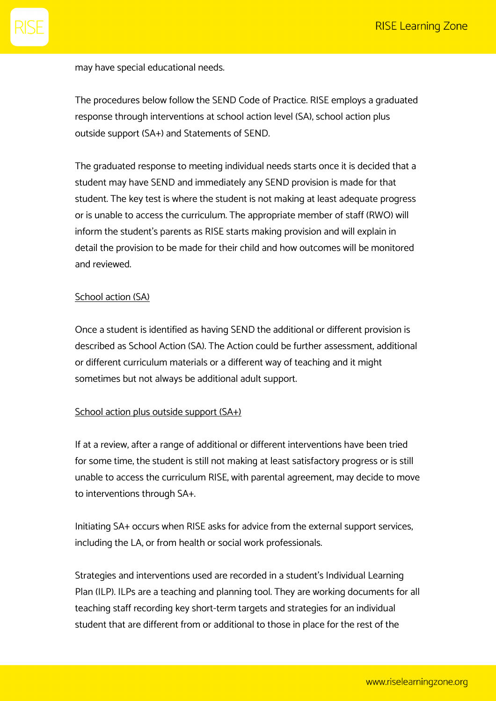may have special educational needs.

The procedures below follow the SEND Code of Practice. RISE employs a graduated response through interventions at school action level (SA), school action plus outside support (SA+) and Statements of SEND.

The graduated response to meeting individual needs starts once it is decided that a student may have SEND and immediately any SEND provision is made for that student. The key test is where the student is not making at least adequate progress or is unable to access the curriculum. The appropriate member of staff (RWO) will inform the student's parents as RISE starts making provision and will explain in detail the provision to be made for their child and how outcomes will be monitored and reviewed.

#### School action (SA)

Once a student is identified as having SEND the additional or different provision is described as School Action (SA). The Action could be further assessment, additional or different curriculum materials or a different way of teaching and it might sometimes but not always be additional adult support.

#### School action plus outside support (SA+)

If at a review, after a range of additional or different interventions have been tried for some time, the student is still not making at least satisfactory progress or is still unable to access the curriculum RISE, with parental agreement, may decide to move to interventions through SA+.

Initiating SA+ occurs when RISE asks for advice from the external support services, including the LA, or from health or social work professionals.

Strategies and interventions used are recorded in a student's Individual Learning Plan (ILP). ILPs are a teaching and planning tool. They are working documents for all teaching staff recording key short-term targets and strategies for an individual student that are different from or additional to those in place for the rest of the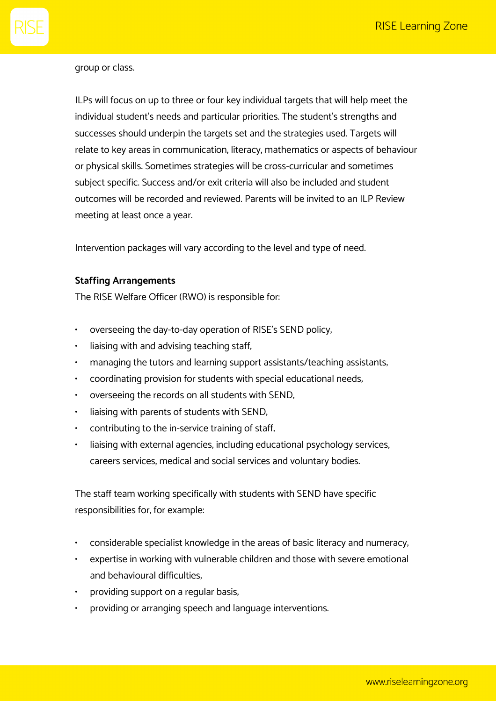# group or class.

ILPs will focus on up to three or four key individual targets that will help meet the individual student's needs and particular priorities. The student's strengths and successes should underpin the targets set and the strategies used. Targets will relate to key areas in communication, literacy, mathematics or aspects of behaviour or physical skills. Sometimes strategies will be cross-curricular and sometimes subject specific. Success and/or exit criteria will also be included and student outcomes will be recorded and reviewed. Parents will be invited to an ILP Review meeting at least once a year.

Intervention packages will vary according to the level and type of need.

#### **Staffing Arrangements**

The RISE Welfare Officer (RWO) is responsible for:

- overseeing the day-to-day operation of RISE's SEND policy;
- liaising with and advising teaching staff,
- managing the tutors and learning support assistants/teaching assistants;
- coordinating provision for students with special educational needs;
- overseeing the records on all students with SEND;
- liaising with parents of students with SEND;
- contributing to the in-service training of staff;
- liaising with external agencies, including educational psychology services, careers services, medical and social services and voluntary bodies.

The staff team working specifically with students with SEND have specific responsibilities for, for example:

- considerable specialist knowledge in the areas of basic literacy and numeracy;
- expertise in working with vulnerable children and those with severe emotional and behavioural difficulties;
- providing support on a regular basis,
- providing or arranging speech and language interventions.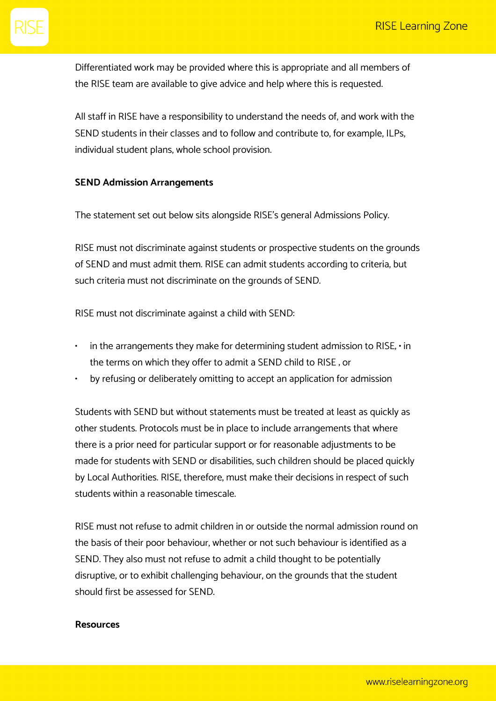Differentiated work may be provided where this is appropriate and all members of the RISE team are available to give advice and help where this is requested.

All staff in RISE have a responsibility to understand the needs of, and work with the SEND students in their classes and to follow and contribute to, for example, ILPs, individual student plans, whole school provision.

# **SEND Admission Arrangements**

The statement set out below sits alongside RISE's general Admissions Policy.

RISE must not discriminate against students or prospective students on the grounds of SEND and must admit them. RISE can admit students according to criteria, but such criteria must not discriminate on the grounds of SEND.

RISE must not discriminate against a child with SEND:

- $\cdot$  in the arrangements they make for determining student admission to RISE,  $\cdot$  in the terms on which they offer to admit a SEND child to RISE ; or
- by refusing or deliberately omitting to accept an application for admission

Students with SEND but without statements must be treated at least as quickly as other students. Protocols must be in place to include arrangements that where there is a prior need for particular support or for reasonable adjustments to be made for students with SEND or disabilities, such children should be placed quickly by Local Authorities. RISE, therefore, must make their decisions in respect of such students within a reasonable timescale.

RISE must not refuse to admit children in or outside the normal admission round on the basis of their poor behaviour, whether or not such behaviour is identified as a SEND. They also must not refuse to admit a child thought to be potentially disruptive, or to exhibit challenging behaviour, on the grounds that the student should first be assessed for SEND.

#### **Resources**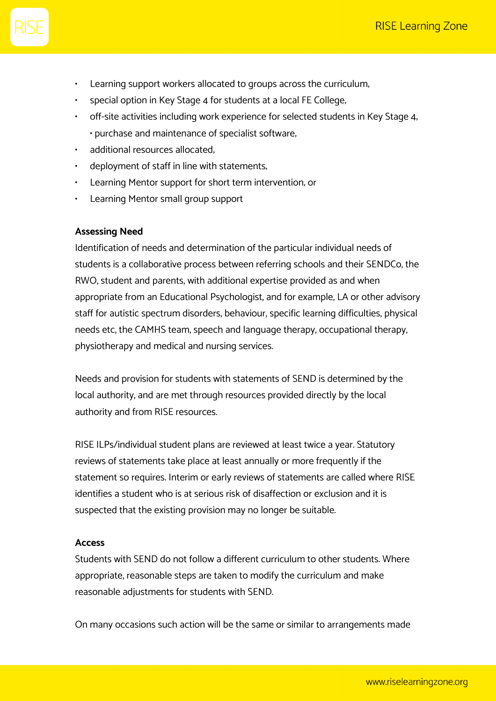- Learning support workers allocated to groups across the curriculum,
- special option in Key Stage 4 for students at a local FE College;
- off-site activities including work experience for selected students in Key Stage 4; • purchase and maintenance of specialist software;
- additional resources allocated;
- deployment of staff in line with statements,
- Learning Mentor support for short term intervention; or
- Learning Mentor small group support

#### **Assessing Need**

Identification of needs and determination of the particular individual needs of students is a collaborative process between referring schools and their SENDCo, the RWO, student and parents, with additional expertise provided as and when appropriate from an Educational Psychologist, and for example, LA or other advisory staff for autistic spectrum disorders, behaviour, specific learning difficulties, physical needs etc, the CAMHS team, speech and language therapy, occupational therapy, physiotherapy and medical and nursing services.

Needs and provision for students with statements of SEND is determined by the local authority, and are met through resources provided directly by the local authority and from RISE resources.

RISE ILPs/individual student plans are reviewed at least twice a year. Statutory reviews of statements take place at least annually or more frequently if the statement so requires. Interim or early reviews of statements are called where RISE identifies a student who is at serious risk of disaffection or exclusion and it is suspected that the existing provision may no longer be suitable.

#### **Access**

Students with SEND do not follow a different curriculum to other students. Where appropriate, reasonable steps are taken to modify the curriculum and make reasonable adjustments for students with SEND.

On many occasions such action will be the same or similar to arrangements made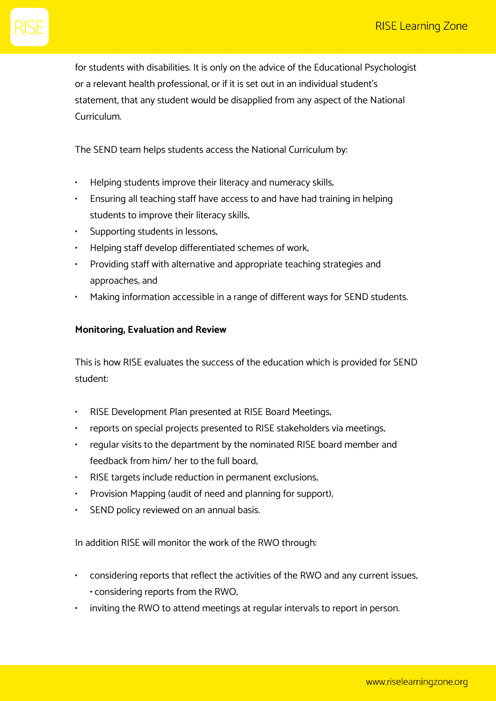for students with disabilities. It is only on the advice of the Educational Psychologist or a relevant health professional, or if it is set out in an individual student's statement, that any student would be disapplied from any aspect of the National Curriculum.

The SEND team helps students access the National Curriculum by:

- Helping students improve their literacy and numeracy skills;
- Ensuring all teaching staff have access to and have had training in helping students to improve their literacy skills;
- Supporting students in lessons;
- Helping staff develop differentiated schemes of work;
- Providing staff with alternative and appropriate teaching strategies and approaches; and
- Making information accessible in a range of different ways for SEND students.

# **Monitoring, Evaluation and Review**

This is how RISE evaluates the success of the education which is provided for SEND student:

- RISE Development Plan presented at RISE Board Meetings;
- reports on special projects presented to RISE stakeholders via meetings;
- regular visits to the department by the nominated RISE board member and feedback from him/ her to the full board;
- RISE targets include reduction in permanent exclusions;
- Provision Mapping (audit of need and planning for support),
- SEND policy reviewed on an annual basis.

In addition RISE will monitor the work of the RWO through:

- considering reports that reflect the activities of the RWO and any current issues; • considering reports from the RWO;
- inviting the RWO to attend meetings at regular intervals to report in person.